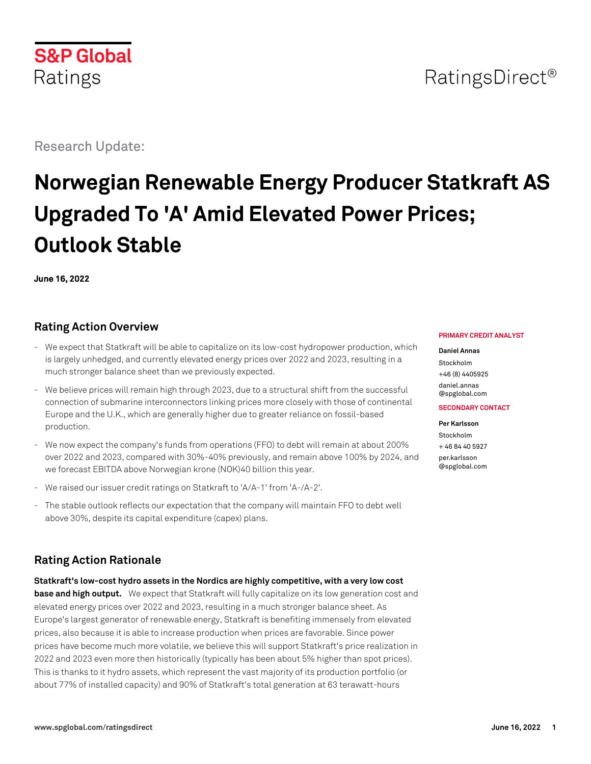## RatingsDirect<sup>®</sup>

Research Update:

**S&P Global** 

Ratings

# **Norwegian Renewable Energy Producer Statkraft AS Upgraded To 'A' Amid Elevated Power Prices; Outlook Stable**

**June 16, 2022**

## **Rating Action Overview**

- We expect that Statkraft will be able to capitalize on its low-cost hydropower production, which is largely unhedged, and currently elevated energy prices over 2022 and 2023, resulting in a much stronger balance sheet than we previously expected.
- We believe prices will remain high through 2023, due to a structural shift from the successful connection of submarine interconnectors linking prices more closely with those of continental Europe and the U.K., which are generally higher due to greater reliance on fossil-based production.
- We now expect the company's funds from operations (FFO) to debt will remain at about 200% over 2022 and 2023, compared with 30%-40% previously, and remain above 100% by 2024, and we forecast EBITDA above Norwegian krone (NOK)40 billion this year.
- We raised our issuer credit ratings on Statkraft to 'A/A-1' from 'A-/A-2'.
- The stable outlook reflects our expectation that the company will maintain FFO to debt well above 30%, despite its capital expenditure (capex) plans.

## **Rating Action Rationale**

**Statkraft's low-cost hydro assets in the Nordics are highly competitive, with a very low cost base and high output.** We expect that Statkraft will fully capitalize on its low generation cost and elevated energy prices over 2022 and 2023, resulting in a much stronger balance sheet. As Europe's largest generator of renewable energy, Statkraft is benefiting immensely from elevated prices, also because it is able to increase production when prices are favorable. Since power prices have become much more volatile, we believe this will support Statkraft's price realization in 2022 and 2023 even more then historically (typically has been about 5% higher than spot prices). This is thanks to it hydro assets, which represent the vast majority of its production portfolio (or about 77% of installed capacity) and 90% of Statkraft's total generation at 63 terawatt-hours

#### **PRIMARY CREDIT ANALYST**

#### **Daniel Annas**

Stockholm +46 (8) 4405925 [daniel.annas](mailto:daniel.annas@spglobal.com) [@spglobal.com](mailto:daniel.annas@spglobal.com)

#### **SECONDARY CONTACT**

**Per Karlsson** Stockholm + 46 84 40 5927 [per.karlsson](mailto:per.karlsson@spglobal.com) [@spglobal.com](mailto:per.karlsson@spglobal.com)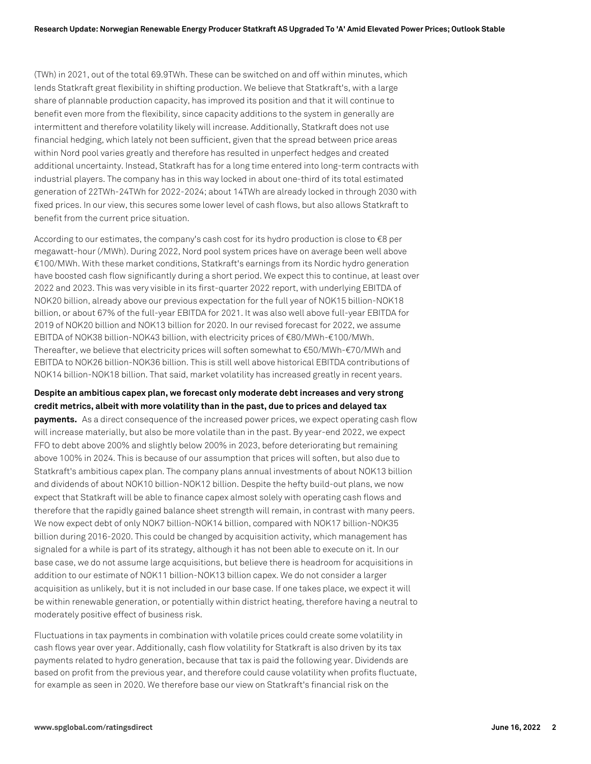(TWh) in 2021, out of the total 69.9TWh. These can be switched on and off within minutes, which lends Statkraft great flexibility in shifting production. We believe that Statkraft's, with a large share of plannable production capacity, has improved its position and that it will continue to benefit even more from the flexibility, since capacity additions to the system in generally are intermittent and therefore volatility likely will increase. Additionally, Statkraft does not use financial hedging, which lately not been sufficient, given that the spread between price areas within Nord pool varies greatly and therefore has resulted in unperfect hedges and created additional uncertainty. Instead, Statkraft has for a long time entered into long-term contracts with industrial players. The company has in this way locked in about one-third of its total estimated generation of 22TWh-24TWh for 2022-2024; about 14TWh are already locked in through 2030 with fixed prices. In our view, this secures some lower level of cash flows, but also allows Statkraft to benefit from the current price situation.

According to our estimates, the company's cash cost for its hydro production is close to €8 per megawatt-hour (/MWh). During 2022, Nord pool system prices have on average been well above €100/MWh. With these market conditions, Statkraft's earnings from its Nordic hydro generation have boosted cash flow significantly during a short period. We expect this to continue, at least over 2022 and 2023. This was very visible in its first-quarter 2022 report, with underlying EBITDA of NOK20 billion, already above our previous expectation for the full year of NOK15 billion-NOK18 billion, or about 67% of the full-year EBITDA for 2021. It was also well above full-year EBITDA for 2019 of NOK20 billion and NOK13 billion for 2020. In our revised forecast for 2022, we assume EBITDA of NOK38 billion-NOK43 billion, with electricity prices of €80/MWh-€100/MWh. Thereafter, we believe that electricity prices will soften somewhat to €50/MWh-€70/MWh and EBITDA to NOK26 billion-NOK36 billion. This is still well above historical EBITDA contributions of NOK14 billion-NOK18 billion. That said, market volatility has increased greatly in recent years.

#### **Despite an ambitious capex plan, we forecast only moderate debt increases and very strong credit metrics, albeit with more volatility than in the past, due to prices and delayed tax**

**payments.** As a direct consequence of the increased power prices, we expect operating cash flow will increase materially, but also be more volatile than in the past. By year-end 2022, we expect FFO to debt above 200% and slightly below 200% in 2023, before deteriorating but remaining above 100% in 2024. This is because of our assumption that prices will soften, but also due to Statkraft's ambitious capex plan. The company plans annual investments of about NOK13 billion and dividends of about NOK10 billion-NOK12 billion. Despite the hefty build-out plans, we now expect that Statkraft will be able to finance capex almost solely with operating cash flows and therefore that the rapidly gained balance sheet strength will remain, in contrast with many peers. We now expect debt of only NOK7 billion-NOK14 billion, compared with NOK17 billion-NOK35 billion during 2016-2020. This could be changed by acquisition activity, which management has signaled for a while is part of its strategy, although it has not been able to execute on it. In our base case, we do not assume large acquisitions, but believe there is headroom for acquisitions in addition to our estimate of NOK11 billion-NOK13 billion capex. We do not consider a larger acquisition as unlikely, but it is not included in our base case. If one takes place, we expect it will be within renewable generation, or potentially within district heating, therefore having a neutral to moderately positive effect of business risk.

Fluctuations in tax payments in combination with volatile prices could create some volatility in cash flows year over year. Additionally, cash flow volatility for Statkraft is also driven by its tax payments related to hydro generation, because that tax is paid the following year. Dividends are based on profit from the previous year, and therefore could cause volatility when profits fluctuate, for example as seen in 2020. We therefore base our view on Statkraft's financial risk on the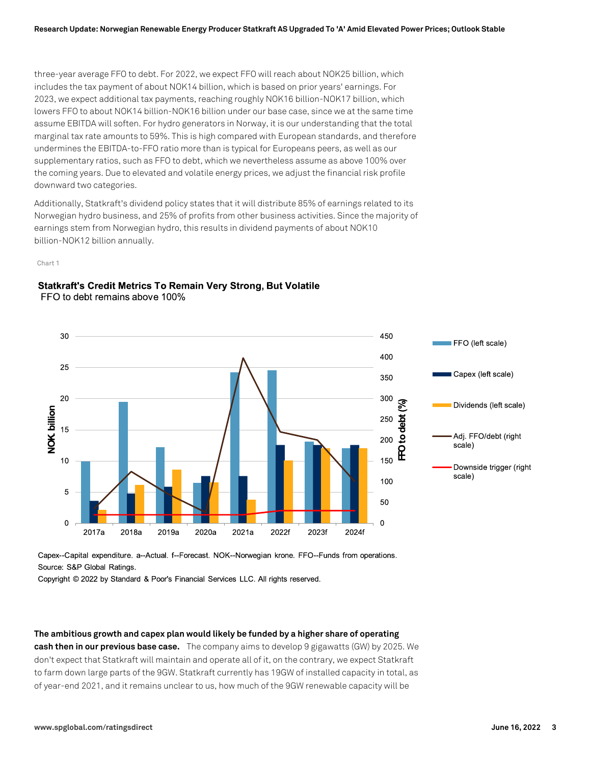three-year average FFO to debt. For 2022, we expect FFO will reach about NOK25 billion, which includes the tax payment of about NOK14 billion, which is based on prior years' earnings. For 2023, we expect additional tax payments, reaching roughly NOK16 billion-NOK17 billion, which lowers FFO to about NOK14 billion-NOK16 billion under our base case, since we at the same time assume EBITDA will soften. For hydro generators in Norway, it is our understanding that the total marginal tax rate amounts to 59%. This is high compared with European standards, and therefore undermines the EBITDA-to-FFO ratio more than is typical for Europeans peers, as well as our supplementary ratios, such as FFO to debt, which we nevertheless assume as above 100% over the coming years. Due to elevated and volatile energy prices, we adjust the financial risk profile downward two categories.

Additionally, Statkraft's dividend policy states that it will distribute 85% of earnings related to its Norwegian hydro business, and 25% of profits from other business activities. Since the majority of earnings stem from Norwegian hydro, this results in dividend payments of about NOK10 billion-NOK12 billion annually.

Chart 1

## Statkraft's Credit Metrics To Remain Very Strong, But Volatile FFO to debt remains above 100%



Capex--Capital expenditure. a--Actual. f--Forecast. NOK--Norwegian krone. FFO--Funds from operations. Source: S&P Global Ratings.

Copyright © 2022 by Standard & Poor's Financial Services LLC. All rights reserved.

#### **The ambitious growth and capex plan would likely be funded by a higher share of operating**

**cash then in our previous base case.** The company aims to develop 9 gigawatts (GW) by 2025. We don't expect that Statkraft will maintain and operate all of it, on the contrary, we expect Statkraft to farm down large parts of the 9GW. Statkraft currently has 19GW of installed capacity in total, as of year-end 2021, and it remains unclear to us, how much of the 9GW renewable capacity will be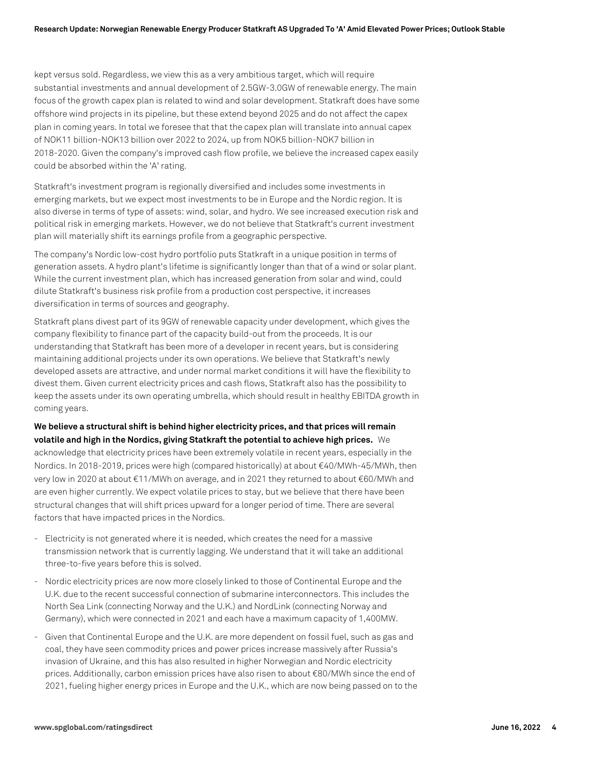kept versus sold. Regardless, we view this as a very ambitious target, which will require substantial investments and annual development of 2.5GW-3.0GW of renewable energy. The main focus of the growth capex plan is related to wind and solar development. Statkraft does have some offshore wind projects in its pipeline, but these extend beyond 2025 and do not affect the capex plan in coming years. In total we foresee that that the capex plan will translate into annual capex of NOK11 billion-NOK13 billion over 2022 to 2024, up from NOK5 billion-NOK7 billion in 2018-2020. Given the company's improved cash flow profile, we believe the increased capex easily could be absorbed within the 'A' rating.

Statkraft's investment program is regionally diversified and includes some investments in emerging markets, but we expect most investments to be in Europe and the Nordic region. It is also diverse in terms of type of assets: wind, solar, and hydro. We see increased execution risk and political risk in emerging markets. However, we do not believe that Statkraft's current investment plan will materially shift its earnings profile from a geographic perspective.

The company's Nordic low-cost hydro portfolio puts Statkraft in a unique position in terms of generation assets. A hydro plant's lifetime is significantly longer than that of a wind or solar plant. While the current investment plan, which has increased generation from solar and wind, could dilute Statkraft's business risk profile from a production cost perspective, it increases diversification in terms of sources and geography.

Statkraft plans divest part of its 9GW of renewable capacity under development, which gives the company flexibility to finance part of the capacity build-out from the proceeds. It is our understanding that Statkraft has been more of a developer in recent years, but is considering maintaining additional projects under its own operations. We believe that Statkraft's newly developed assets are attractive, and under normal market conditions it will have the flexibility to divest them. Given current electricity prices and cash flows, Statkraft also has the possibility to keep the assets under its own operating umbrella, which should result in healthy EBITDA growth in coming years.

#### **We believe a structural shift is behind higher electricity prices, and that prices will remain volatile and high in the Nordics, giving Statkraft the potential to achieve high prices.** We

acknowledge that electricity prices have been extremely volatile in recent years, especially in the Nordics. In 2018-2019, prices were high (compared historically) at about €40/MWh-45/MWh, then very low in 2020 at about €11/MWh on average, and in 2021 they returned to about €60/MWh and are even higher currently. We expect volatile prices to stay, but we believe that there have been structural changes that will shift prices upward for a longer period of time. There are several factors that have impacted prices in the Nordics.

- Electricity is not generated where it is needed, which creates the need for a massive transmission network that is currently lagging. We understand that it will take an additional three-to-five years before this is solved.
- Nordic electricity prices are now more closely linked to those of Continental Europe and the U.K. due to the recent successful connection of submarine interconnectors. This includes the North Sea Link (connecting Norway and the U.K.) and NordLink (connecting Norway and Germany), which were connected in 2021 and each have a maximum capacity of 1,400MW.
- Given that Continental Europe and the U.K. are more dependent on fossil fuel, such as gas and coal, they have seen commodity prices and power prices increase massively after Russia's invasion of Ukraine, and this has also resulted in higher Norwegian and Nordic electricity prices. Additionally, carbon emission prices have also risen to about €80/MWh since the end of 2021, fueling higher energy prices in Europe and the U.K., which are now being passed on to the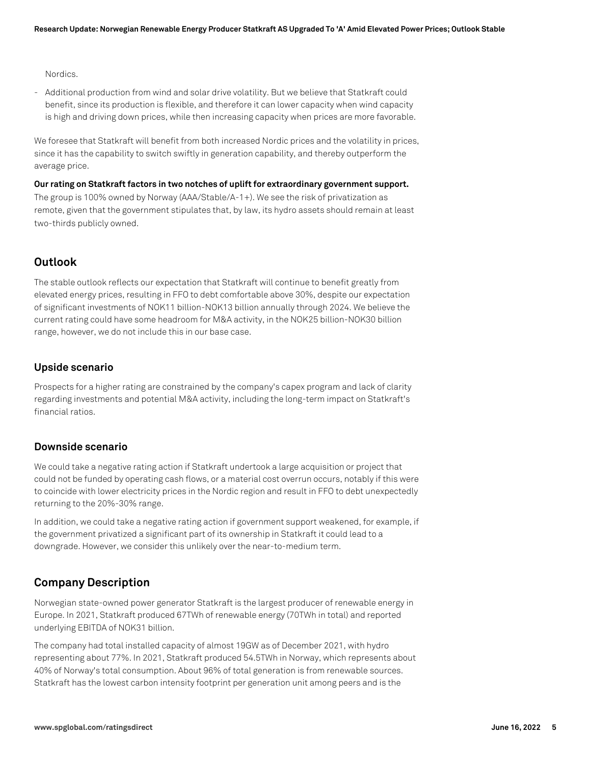Nordics.

- Additional production from wind and solar drive volatility. But we believe that Statkraft could benefit, since its production is flexible, and therefore it can lower capacity when wind capacity is high and driving down prices, while then increasing capacity when prices are more favorable.

We foresee that Statkraft will benefit from both increased Nordic prices and the volatility in prices, since it has the capability to switch swiftly in generation capability, and thereby outperform the average price.

**Our rating on Statkraft factors in two notches of uplift for extraordinary government support.**

The group is 100% owned by Norway (AAA/Stable/A-1+). We see the risk of privatization as remote, given that the government stipulates that, by law, its hydro assets should remain at least two-thirds publicly owned.

## **Outlook**

The stable outlook reflects our expectation that Statkraft will continue to benefit greatly from elevated energy prices, resulting in FFO to debt comfortable above 30%, despite our expectation of significant investments of NOK11 billion-NOK13 billion annually through 2024. We believe the current rating could have some headroom for M&A activity, in the NOK25 billion-NOK30 billion range, however, we do not include this in our base case.

#### **Upside scenario**

Prospects for a higher rating are constrained by the company's capex program and lack of clarity regarding investments and potential M&A activity, including the long-term impact on Statkraft's financial ratios.

#### **Downside scenario**

We could take a negative rating action if Statkraft undertook a large acquisition or project that could not be funded by operating cash flows, or a material cost overrun occurs, notably if this were to coincide with lower electricity prices in the Nordic region and result in FFO to debt unexpectedly returning to the 20%-30% range.

In addition, we could take a negative rating action if government support weakened, for example, if the government privatized a significant part of its ownership in Statkraft it could lead to a downgrade. However, we consider this unlikely over the near-to-medium term.

## **Company Description**

Norwegian state-owned power generator Statkraft is the largest producer of renewable energy in Europe. In 2021, Statkraft produced 67TWh of renewable energy (70TWh in total) and reported underlying EBITDA of NOK31 billion.

The company had total installed capacity of almost 19GW as of December 2021, with hydro representing about 77%. In 2021, Statkraft produced 54.5TWh in Norway, which represents about 40% of Norway's total consumption. About 96% of total generation is from renewable sources. Statkraft has the lowest carbon intensity footprint per generation unit among peers and is the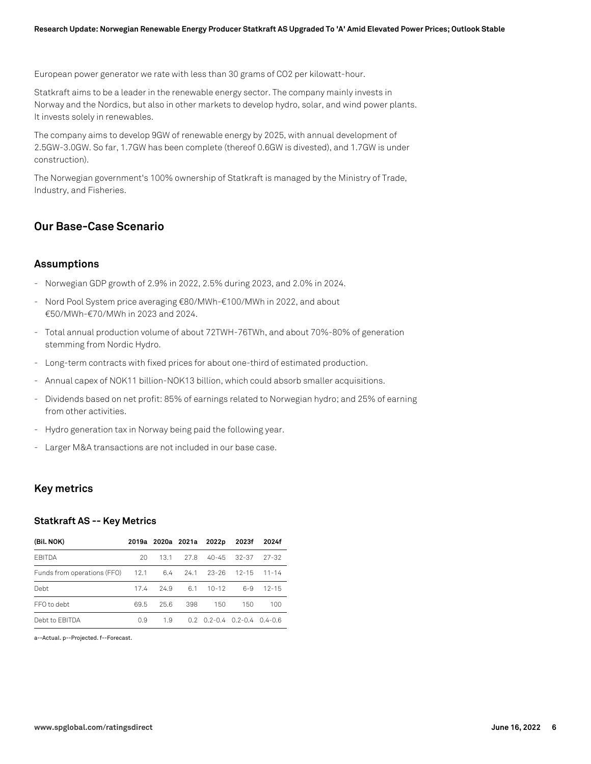European power generator we rate with less than 30 grams of CO2 per kilowatt-hour.

Statkraft aims to be a leader in the renewable energy sector. The company mainly invests in Norway and the Nordics, but also in other markets to develop hydro, solar, and wind power plants. It invests solely in renewables.

The company aims to develop 9GW of renewable energy by 2025, with annual development of 2.5GW-3.0GW. So far, 1.7GW has been complete (thereof 0.6GW is divested), and 1.7GW is under construction).

The Norwegian government's 100% ownership of Statkraft is managed by the Ministry of Trade, Industry, and Fisheries.

## **Our Base-Case Scenario**

#### **Assumptions**

- Norwegian GDP growth of 2.9% in 2022, 2.5% during 2023, and 2.0% in 2024.
- Nord Pool System price averaging €80/MWh-€100/MWh in 2022, and about €50/MWh-€70/MWh in 2023 and 2024.
- Total annual production volume of about 72TWH-76TWh, and about 70%-80% of generation stemming from Nordic Hydro.
- Long-term contracts with fixed prices for about one-third of estimated production.
- Annual capex of NOK11 billion-NOK13 billion, which could absorb smaller acquisitions.
- Dividends based on net profit: 85% of earnings related to Norwegian hydro; and 25% of earning from other activities.
- Hydro generation tax in Norway being paid the following year.
- Larger M&A transactions are not included in our base case.

#### **Key metrics**

#### **Statkraft AS -- Key Metrics**

| (Bil. NOK)                                      |      |      | 2019a 2020a 2021a | 2022p                                     | 2023f   | 2024f     |
|-------------------------------------------------|------|------|-------------------|-------------------------------------------|---------|-----------|
| <b>FBITDA</b>                                   | 20   | 13.1 | 27.8              | 40-45                                     | 32-37   | $27 - 32$ |
| Funds from operations (FFO) 12.1 6.4 24.1 23-26 |      |      |                   |                                           | 12-15   | $11 - 14$ |
| Debt                                            | 174  | 24.9 | 6.1               | $10 - 12$                                 | $6 - 9$ | $12 - 15$ |
| FFO to debt                                     | 69.5 | 25.6 | 398               | 150                                       | 150     | 100       |
| Debt to FBITDA                                  | 0.9  | 19   |                   | $0.2$ $0.2 - 0.4$ $0.2 - 0.4$ $0.4 - 0.6$ |         |           |

a--Actual. p--Projected. f--Forecast.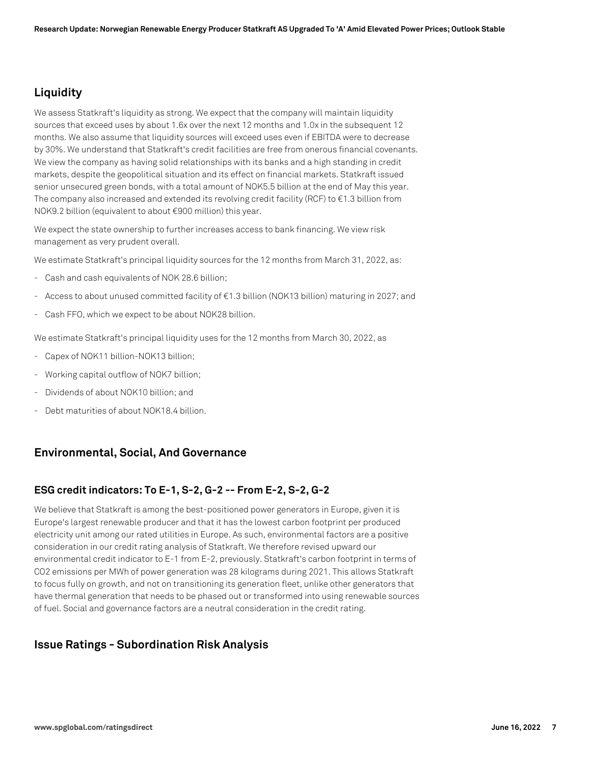## **Liquidity**

We assess Statkraft's liquidity as strong. We expect that the company will maintain liquidity sources that exceed uses by about 1.6x over the next 12 months and 1.0x in the subsequent 12 months. We also assume that liquidity sources will exceed uses even if EBITDA were to decrease by 30%. We understand that Statkraft's credit facilities are free from onerous financial covenants. We view the company as having solid relationships with its banks and a high standing in credit markets, despite the geopolitical situation and its effect on financial markets. Statkraft issued senior unsecured green bonds, with a total amount of NOK5.5 billion at the end of May this year. The company also increased and extended its revolving credit facility (RCF) to €1.3 billion from NOK9.2 billion (equivalent to about €900 million) this year.

We expect the state ownership to further increases access to bank financing. We view risk management as very prudent overall.

We estimate Statkraft's principal liquidity sources for the 12 months from March 31, 2022, as:

- Cash and cash equivalents of NOK 28.6 billion;
- Access to about unused committed facility of €1.3 billion (NOK13 billion) maturing in 2027; and
- Cash FFO, which we expect to be about NOK28 billion.

We estimate Statkraft's principal liquidity uses for the 12 months from March 30, 2022, as

- Capex of NOK11 billion-NOK13 billion;
- Working capital outflow of NOK7 billion;
- Dividends of about NOK10 billion; and
- Debt maturities of about NOK18.4 billion.

## **Environmental, Social, And Governance**

## **ESG credit indicators: To E-1, S-2, G-2 -- From E-2, S-2, G-2**

We believe that Statkraft is among the best-positioned power generators in Europe, given it is Europe's largest renewable producer and that it has the lowest carbon footprint per produced electricity unit among our rated utilities in Europe. As such, environmental factors are a positive consideration in our credit rating analysis of Statkraft. We therefore revised upward our environmental credit indicator to E-1 from E-2, previously. Statkraft's carbon footprint in terms of CO2 emissions per MWh of power generation was 28 kilograms during 2021. This allows Statkraft to focus fully on growth, and not on transitioning its generation fleet, unlike other generators that have thermal generation that needs to be phased out or transformed into using renewable sources of fuel. Social and governance factors are a neutral consideration in the credit rating.

## **Issue Ratings - Subordination Risk Analysis**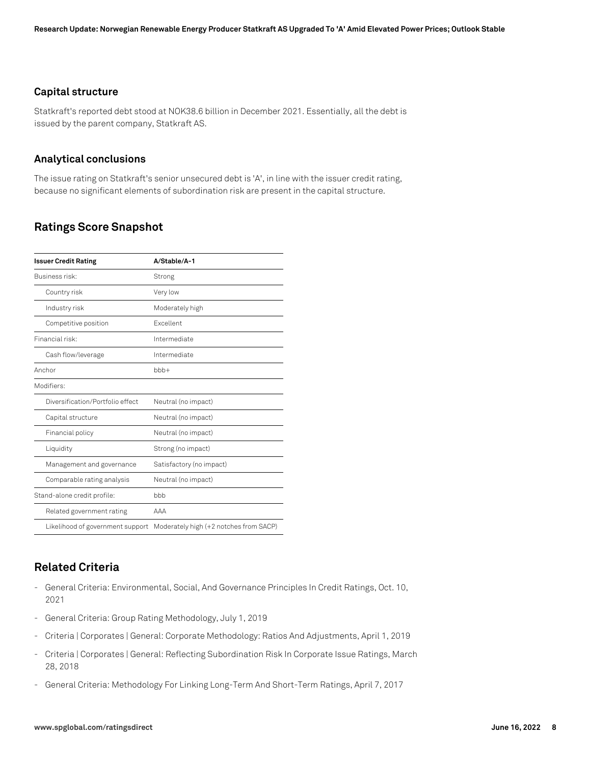#### **Capital structure**

Statkraft's reported debt stood at NOK38.6 billion in December 2021. Essentially, all the debt is issued by the parent company, Statkraft AS.

## **Analytical conclusions**

The issue rating on Statkraft's senior unsecured debt is 'A', in line with the issuer credit rating, because no significant elements of subordination risk are present in the capital structure.

## **Ratings Score Snapshot**

| <b>Issuer Credit Rating</b>      | A/Stable/A-1                           |  |  |  |
|----------------------------------|----------------------------------------|--|--|--|
| Business risk:                   | Strong                                 |  |  |  |
| Country risk                     | Very low                               |  |  |  |
| Industry risk                    | Moderately high                        |  |  |  |
| Competitive position             | <b>Excellent</b>                       |  |  |  |
| Financial risk:                  | Intermediate                           |  |  |  |
| Cash flow/leverage               | Intermediate                           |  |  |  |
| Anchor                           | $bbb +$                                |  |  |  |
| Modifiers:                       |                                        |  |  |  |
| Diversification/Portfolio effect | Neutral (no impact)                    |  |  |  |
| Capital structure                | Neutral (no impact)                    |  |  |  |
| Financial policy                 | Neutral (no impact)                    |  |  |  |
| Liquidity                        | Strong (no impact)                     |  |  |  |
| Management and governance        | Satisfactory (no impact)               |  |  |  |
| Comparable rating analysis       | Neutral (no impact)                    |  |  |  |
| Stand-alone credit profile:      | bbb                                    |  |  |  |
| Related government rating        | AAA                                    |  |  |  |
| Likelihood of government support | Moderately high (+2 notches from SACP) |  |  |  |

## **Related Criteria**

- General Criteria: Environmental, Social, And Governance Principles In Credit Ratings, Oct. 10, 2021
- General Criteria: Group Rating Methodology, July 1, 2019
- Criteria | Corporates | General: Corporate Methodology: Ratios And Adjustments, April 1, 2019
- Criteria | Corporates | General: Reflecting Subordination Risk In Corporate Issue Ratings, March 28, 2018
- General Criteria: Methodology For Linking Long-Term And Short-Term Ratings, April 7, 2017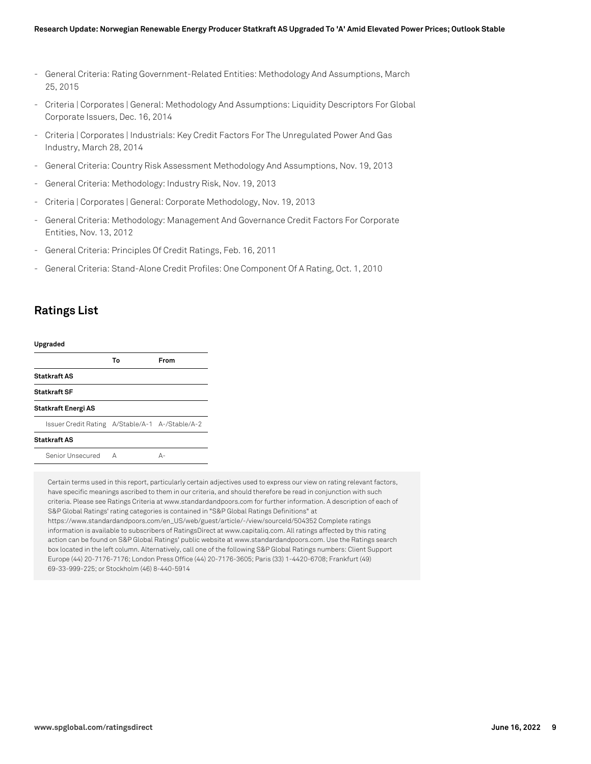- General Criteria: Rating Government-Related Entities: Methodology And Assumptions, March 25, 2015
- Criteria | Corporates | General: Methodology And Assumptions: Liquidity Descriptors For Global Corporate Issuers, Dec. 16, 2014
- Criteria | Corporates | Industrials: Key Credit Factors For The Unregulated Power And Gas Industry, March 28, 2014
- General Criteria: Country Risk Assessment Methodology And Assumptions, Nov. 19, 2013
- General Criteria: Methodology: Industry Risk, Nov. 19, 2013
- Criteria | Corporates | General: Corporate Methodology, Nov. 19, 2013
- General Criteria: Methodology: Management And Governance Credit Factors For Corporate Entities, Nov. 13, 2012
- General Criteria: Principles Of Credit Ratings, Feb. 16, 2011
- General Criteria: Stand-Alone Credit Profiles: One Component Of A Rating, Oct. 1, 2010

## **Ratings List**

| Upgraded                                        |    |      |
|-------------------------------------------------|----|------|
|                                                 | Т٥ | From |
| <b>Statkraft AS</b>                             |    |      |
| <b>Statkraft SF</b>                             |    |      |
| <b>Statkraft Energi AS</b>                      |    |      |
| Issuer Credit Rating A/Stable/A-1 A-/Stable/A-2 |    |      |
| <b>Statkraft AS</b>                             |    |      |
| Senior Unsecured                                |    |      |

Certain terms used in this report, particularly certain adjectives used to express our view on rating relevant factors, have specific meanings ascribed to them in our criteria, and should therefore be read in conjunction with such criteria. Please see Ratings Criteria at www.standardandpoors.com for further information. A description of each of S&P Global Ratings' rating categories is contained in "S&P Global Ratings Definitions" at https://www.standardandpoors.com/en\_US/web/guest/article/-/view/sourceId/504352 Complete ratings information is available to subscribers of RatingsDirect at www.capitaliq.com. All ratings affected by this rating action can be found on S&P Global Ratings' public website at www.standardandpoors.com. Use the Ratings search box located in the left column. Alternatively, call one of the following S&P Global Ratings numbers: Client Support Europe (44) 20-7176-7176; London Press Office (44) 20-7176-3605; Paris (33) 1-4420-6708; Frankfurt (49) 69-33-999-225; or Stockholm (46) 8-440-5914